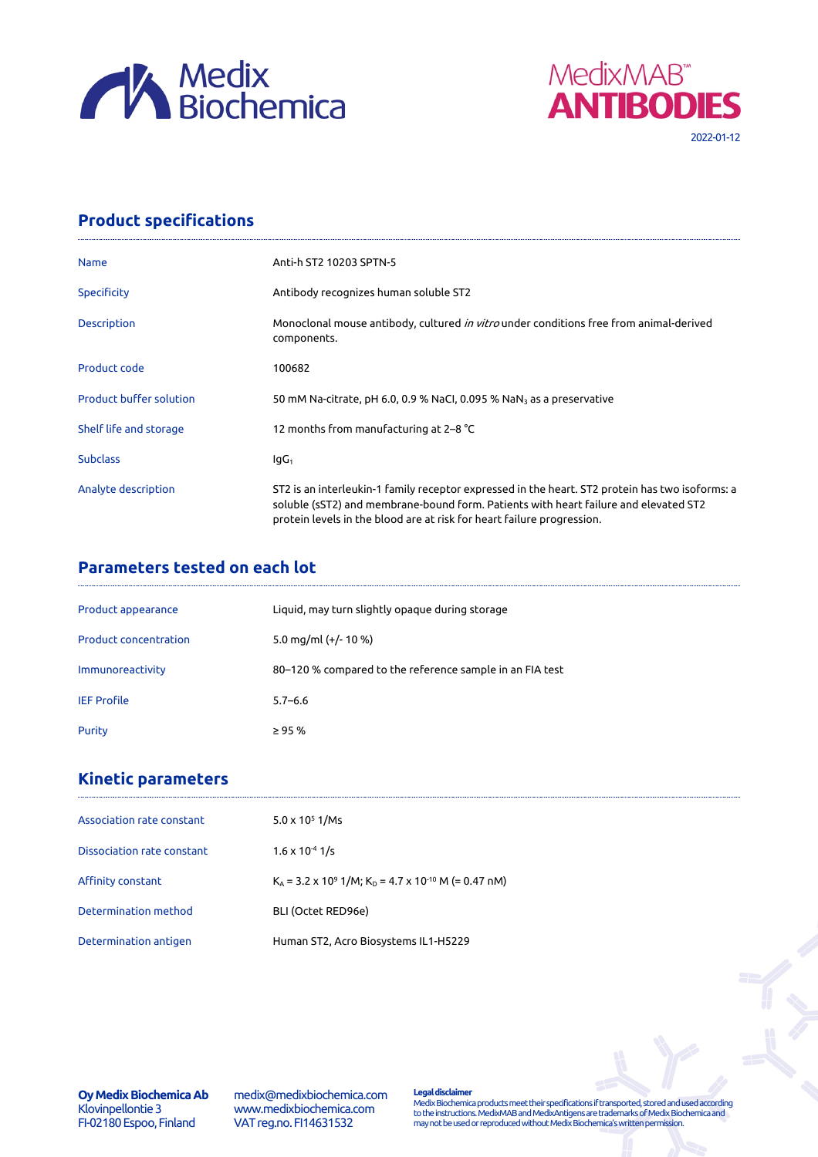



## **Product specifications**

| <b>Name</b>                    | Anti-h ST2 10203 SPTN-5                                                                                                                                                                                                                                           |
|--------------------------------|-------------------------------------------------------------------------------------------------------------------------------------------------------------------------------------------------------------------------------------------------------------------|
| <b>Specificity</b>             | Antibody recognizes human soluble ST2                                                                                                                                                                                                                             |
| <b>Description</b>             | Monoclonal mouse antibody, cultured <i>in vitro</i> under conditions free from animal-derived<br>components.                                                                                                                                                      |
| Product code                   | 100682                                                                                                                                                                                                                                                            |
| <b>Product buffer solution</b> | 50 mM Na-citrate, pH 6.0, 0.9 % NaCl, 0.095 % NaN <sub>3</sub> as a preservative                                                                                                                                                                                  |
| Shelf life and storage         | 12 months from manufacturing at 2–8 °C                                                                                                                                                                                                                            |
| <b>Subclass</b>                | lgG <sub>1</sub>                                                                                                                                                                                                                                                  |
| Analyte description            | ST2 is an interleukin-1 family receptor expressed in the heart. ST2 protein has two isoforms: a<br>soluble (sST2) and membrane-bound form. Patients with heart failure and elevated ST2<br>protein levels in the blood are at risk for heart failure progression. |

## **Parameters tested on each lot**

| Product appearance           | Liquid, may turn slightly opaque during storage          |
|------------------------------|----------------------------------------------------------|
| <b>Product concentration</b> | 5.0 mg/ml $(+/- 10 %$                                    |
| Immunoreactivity             | 80-120 % compared to the reference sample in an FIA test |
| <b>IEF Profile</b>           | $5.7 - 6.6$                                              |
| Purity                       | $\geq$ 95 %                                              |

# **Kinetic parameters**

| $5.0 \times 10^5$ 1/Ms                                                                           |
|--------------------------------------------------------------------------------------------------|
| $1.6 \times 10^{-4}$ 1/s                                                                         |
| $K_{\Delta}$ = 3.2 x 10 <sup>9</sup> 1/M; K <sub>D</sub> = 4.7 x 10 <sup>-10</sup> M (= 0.47 nM) |
| BLI (Octet RED96e)                                                                               |
| Human ST2, Acro Biosystems IL1-H5229                                                             |
|                                                                                                  |

**Oy Medix Biochemica Ab** Klovinpellontie 3 FI-02180 Espoo, Finland

medix@medixbiochemica.com www.medixbiochemica.com VAT reg.no. FI14631532

**Legal disclaimer** Medix Biochemica products meet their specifications if transported, stored and used according to the instructions. MedixMAB and MedixAntigens are trademarks of Medix Biochemica and may not be used or reproduced without Medix Biochemica's written permission.